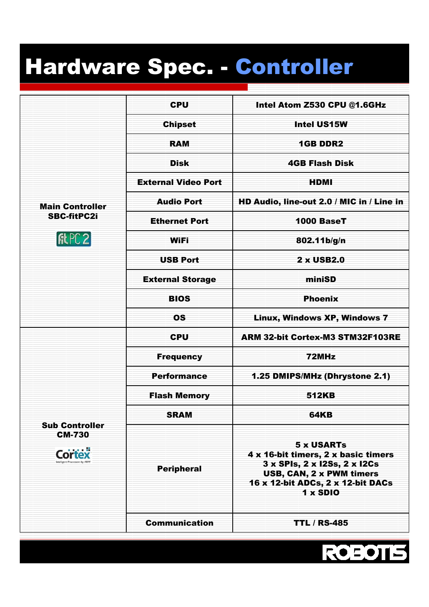## Hardware Spec. - Controller

| <b>Main Controller</b><br><b>SBC-fitPC2i</b>                            | <b>CPU</b>                 | Intel Atom Z530 CPU @1.6GHz                                                                                                                                           |
|-------------------------------------------------------------------------|----------------------------|-----------------------------------------------------------------------------------------------------------------------------------------------------------------------|
|                                                                         | <b>Chipset</b>             | Intel US15W                                                                                                                                                           |
|                                                                         | <b>RAM</b>                 | <b>1GB DDR2</b>                                                                                                                                                       |
|                                                                         | <b>Disk</b>                | <b>4GB Flash Disk</b>                                                                                                                                                 |
|                                                                         | <b>External Video Port</b> | <b>HDMI</b>                                                                                                                                                           |
|                                                                         | <b>Audio Port</b>          | HD Audio, line-out 2.0 / MIC in / Line in                                                                                                                             |
|                                                                         | <b>Ethernet Port</b>       | 1000 BaseT                                                                                                                                                            |
|                                                                         | <b>WiFi</b>                | 802.11b/g/n                                                                                                                                                           |
|                                                                         | <b>USB Port</b>            | 2 x USB2.0                                                                                                                                                            |
|                                                                         | <b>External Storage</b>    | miniSD                                                                                                                                                                |
|                                                                         | <b>BIOS</b>                | <b>Phoenix</b>                                                                                                                                                        |
|                                                                         | <b>OS</b>                  | Linux, Windows XP, Windows 7                                                                                                                                          |
|                                                                         | <b>CPU</b>                 | ARM 32-bit Cortex-M3 STM32F103RE                                                                                                                                      |
|                                                                         | <b>Frequency</b>           | 72MHz                                                                                                                                                                 |
|                                                                         | <b>Performance</b>         | 1.25 DMIPS/MHz (Dhrystone 2.1)                                                                                                                                        |
| <b>Sub Controller</b><br><b>CM-730</b><br>Intelligent Processors by ARM | <b>Flash Memory</b>        | <b>512KB</b>                                                                                                                                                          |
|                                                                         | <b>SRAM</b>                | <b>64KB</b>                                                                                                                                                           |
|                                                                         | <b>Peripheral</b>          | <b>5 x USARTs</b><br>4 x 16-bit timers, 2 x basic timers<br>3 x SPIs, 2 x I2Ss, 2 x I2Cs<br>USB, CAN, 2 x PWM timers<br>16 x 12-bit ADCs, 2 x 12-bit DACs<br>1 x SDIO |
|                                                                         | <b>Communication</b>       | <b>TTL / RS-485</b>                                                                                                                                                   |

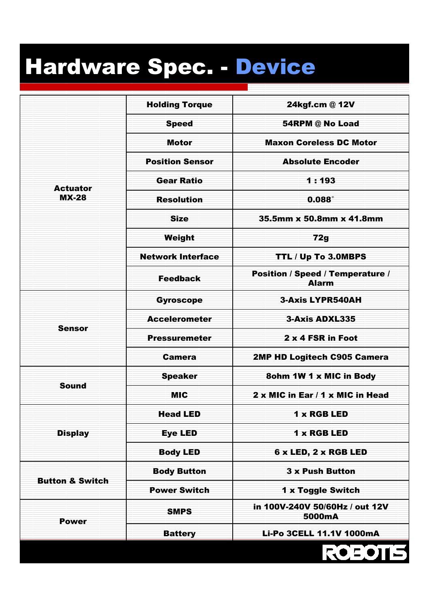## Hardware Spec. - Device

| <b>Actuator</b><br><b>MX-28</b> | <b>Holding Torque</b>    | 24kgf.cm @ 12V                                   |
|---------------------------------|--------------------------|--------------------------------------------------|
|                                 | <b>Speed</b>             | 54RPM @ No Load                                  |
|                                 | <b>Motor</b>             | <b>Maxon Coreless DC Motor</b>                   |
|                                 | <b>Position Sensor</b>   | <b>Absolute Encoder</b>                          |
|                                 | <b>Gear Ratio</b>        | 1:193                                            |
|                                 | <b>Resolution</b>        | $0.088^\circ$                                    |
|                                 | <b>Size</b>              | 35.5mm x 50.8mm x 41.8mm                         |
|                                 | Weight                   | 72g                                              |
|                                 | <b>Network Interface</b> | TTL / Up To 3.0MBPS                              |
|                                 | <b>Feedback</b>          | Position / Speed / Temperature /<br><b>Alarm</b> |
| <b>Sensor</b>                   | <b>Gyroscope</b>         | <b>3-Axis LYPR540AH</b>                          |
|                                 | <b>Accelerometer</b>     | 3-Axis ADXL335                                   |
|                                 | <b>Pressuremeter</b>     | 2 x 4 FSR in Foot                                |
|                                 | <b>Camera</b>            | 2MP HD Logitech C905 Camera                      |
|                                 | <b>Speaker</b>           | 8ohm 1W 1 x MIC in Body                          |
| <b>Sound</b>                    | <b>MIC</b>               | 2 x MIC in Ear / 1 x MIC in Head                 |
| <b>Display</b>                  | <b>Head LED</b>          | 1 x RGB LED                                      |
|                                 | <b>Eye LED</b>           | 1 x RGB LED                                      |
|                                 | <b>Body LED</b>          | 6 x LED, 2 x RGB LED                             |
| <b>Button &amp; Switch</b>      | <b>Body Button</b>       | <b>3 x Push Button</b>                           |
|                                 | <b>Power Switch</b>      | 1 x Toggle Switch                                |
| <b>Power</b>                    | <b>SMPS</b>              | in 100V-240V 50/60Hz / out 12V<br>5000mA         |
|                                 | <b>Battery</b>           | Li-Po 3CELL 11.1V 1000mA                         |
|                                 |                          | ROEOTIS                                          |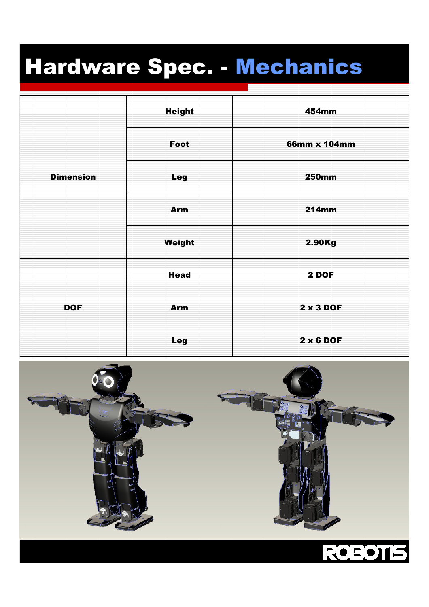## Hardware Spec. - Mechanics

| <b>Dimension</b> | <b>Height</b> | 454mm            |
|------------------|---------------|------------------|
|                  | Foot          | 66mm x 104mm     |
|                  | <b>Leg</b>    | <b>250mm</b>     |
|                  | Arm           | <b>214mm</b>     |
|                  | Weight        | 2.90Kg           |
| <b>DOF</b>       | <b>Head</b>   | 2 DOF            |
|                  | Arm           | 2 x 3 DOF        |
|                  | Leg           | $2 \times 6$ DOF |